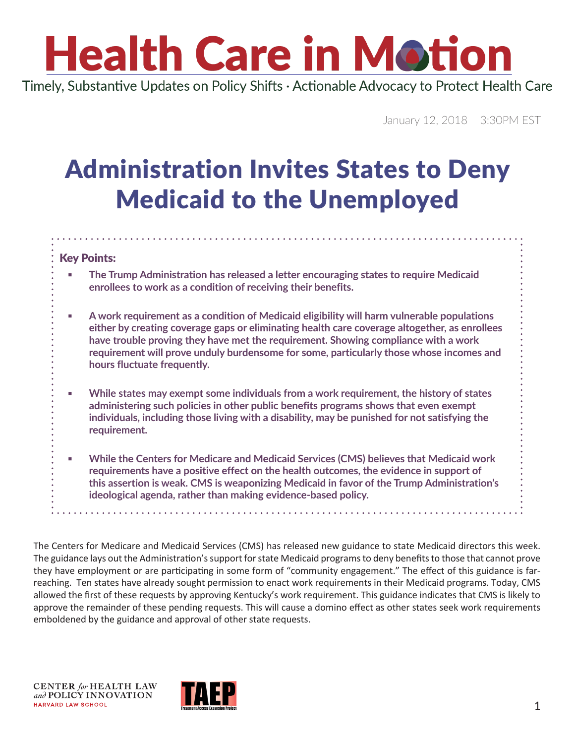# **Health Care in Motion**

Timely, Substantive Updates on Policy Shifts · Actionable Advocacy to Protect Health Care

January 12, 2018 3:30PM EST

### Administration Invites States to Deny Medicaid to the Unemployed

#### Key Points:

- **The Trump Administration has released a letter encouraging states to require Medicaid enrollees to work as a condition of receiving their benefits.**
- **A work requirement as a condition of Medicaid eligibility will harm vulnerable populations either by creating coverage gaps or eliminating health care coverage altogether, as enrollees have trouble proving they have met the requirement. Showing compliance with a work requirement will prove unduly burdensome for some, particularly those whose incomes and hours fluctuate frequently.**
- While states may exempt some individuals from a work requirement, the history of states **administering such policies in other public benefits programs shows that even exempt individuals, including those living with a disability, may be punished for not satisfying the requirement.**
- **While the Centers for Medicare and Medicaid Services (CMS) believes that Medicaid work requirements have a positive effect on the health outcomes, the evidence in support of this assertion is weak. CMS is weaponizing Medicaid in favor of the Trump Administration's ideological agenda, rather than making evidence-based policy.**

. . . . . . . . . . . . .

The Centers for Medicare and Medicaid Services (CMS) has released new guidance to state Medicaid directors this week. The guidance lays out the Administration's support for state Medicaid programs to deny benefits to those that cannot prove they have employment or are participating in some form of "community engagement." The effect of this guidance is farreaching. Ten states have already sought permission to enact work requirements in their Medicaid programs. Today, CMS allowed the first of these requests by approving Kentucky's work requirement. This guidance indicates that CMS is likely to approve the remainder of these pending requests. This will cause a domino effect as other states seek work requirements emboldened by the guidance and approval of other state requests.

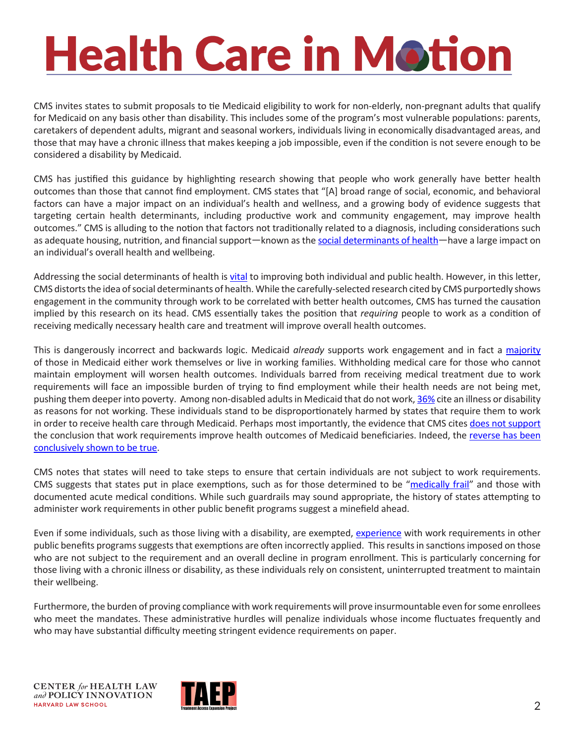### **Health Care in Motion**

CMS invites states to submit proposals to tie Medicaid eligibility to work for non-elderly, non-pregnant adults that qualify for Medicaid on any basis other than disability. This includes some of the program's most vulnerable populations: parents, caretakers of dependent adults, migrant and seasonal workers, individuals living in economically disadvantaged areas, and those that may have a chronic illness that makes keeping a job impossible, even if the condition is not severe enough to be considered a disability by Medicaid.

CMS has justified this guidance by highlighting research showing that people who work generally have better health outcomes than those that cannot find employment. CMS states that "[A] broad range of social, economic, and behavioral factors can have a major impact on an individual's health and wellness, and a growing body of evidence suggests that targeting certain health determinants, including productive work and community engagement, may improve health outcomes." CMS is alluding to the notion that factors not traditionally related to a diagnosis, including considerations such as adequate housing, nutrition, and financial support—known as the [social determinants of health](https://www.healthypeople.gov/2020/topics-objectives/topic/social-determinants-of-health)—have a large impact on an individual's overall health and wellbeing.

Addressing the social determinants of health is [vital](https://www.kff.org/disparities-policy/issue-brief/beyond-health-care-the-role-of-social-determinants-in-promoting-health-and-health-equity/) to improving both individual and public health. However, in this letter, CMS distorts the idea of social determinants of health. While the carefully-selected research cited by CMS purportedly shows engagement in the community through work to be correlated with better health outcomes, CMS has turned the causation implied by this research on its head. CMS essentially takes the position that *requiring* people to work as a condition of receiving medically necessary health care and treatment will improve overall health outcomes.

This is dangerously incorrect and backwards logic. Medicaid *already* supports work engagement and in fact a [majority](https://www.kff.org/report-section/understanding-the-intersection-of-medicaid-and-work-appendix/) of those in Medicaid either work themselves or live in working families. Withholding medical care for those who cannot maintain employment will worsen health outcomes. Individuals barred from receiving medical treatment due to work requirements will face an impossible burden of trying to find employment while their health needs are not being met, pushing them deeper into poverty. Among non-disabled adults in Medicaid that do not work, [36%](https://www.kff.org/report-section/understanding-the-intersection-of-medicaid-and-work-appendix/) cite an illness or disability as reasons for not working. These individuals stand to be disproportionately harmed by states that require them to work in order to receive health care through Medicaid. Perhaps most importantly, the evidence that CMS cites [does not support](http://www.healthlaw.org/component/jsfsubmit/showAttachment%3Ftmpl=raw%26id=00P0W00000ozROSUA2) the conclusion that work requirements improve health outcomes of Medicaid beneficiaries. Indeed, the [reverse has been](https://www.cbpp.org/research/health/medicaid-work-requirement-would-limit-health-care-access-without-significantly) [conclusively shown to be true](https://www.cbpp.org/research/health/medicaid-work-requirement-would-limit-health-care-access-without-significantly).

CMS notes that states will need to take steps to ensure that certain individuals are not subject to work requirements. CMS suggests that states put in place exemptions, such as for those determined to be "[medically frail](https://nationaldisabilitynavigator.org/ndnrc-materials/fact-sheets/fact-sheet-8/)" and those with documented acute medical conditions. While such guardrails may sound appropriate, the history of states attempting to administer work requirements in other public benefit programs suggest a minefield ahead.

Even if some individuals, such as those living with a disability, are exempted, [experience](https://www.cbpp.org/research/health/medicaid-work-requirement-would-limit-health-care-access-without-significantly) with work requirements in other public benefits programs suggests that exemptions are often incorrectly applied. This results in sanctions imposed on those who are not subject to the requirement and an overall decline in program enrollment. This is particularly concerning for those living with a chronic illness or disability, as these individuals rely on consistent, uninterrupted treatment to maintain their wellbeing.

Furthermore, the burden of proving compliance with work requirements will prove insurmountable even for some enrollees who meet the mandates. These administrative hurdles will penalize individuals whose income fluctuates frequently and who may have substantial difficulty meeting stringent evidence requirements on paper.